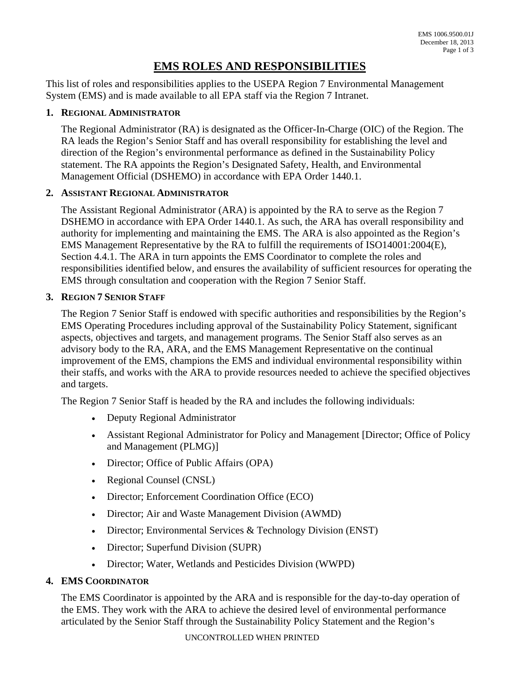# **EMS ROLES AND RESPONSIBILITIES**

 System (EMS) and is made available to all EPA staff via the Region 7 Intranet. This list of roles and responsibilities applies to the USEPA Region 7 Environmental Management

## **1. REGIONAL ADMINISTRATOR**

The Regional Administrator (RA) is designated as the Officer-In-Charge (OIC) of the Region. The RA leads the Region's Senior Staff and has overall responsibility for establishing the level and direction of the Region's environmental performance as defined in the Sustainability Policy statement. The RA appoints the Region's Designated Safety, Health, and Environmental Management Official (DSHEMO) in accordance with EPA Order 1440.1.

### **2. ASSISTANT REGIONAL ADMINISTRATOR**

 The Assistant Regional Administrator (ARA) is appointed by the RA to serve as the Region 7 DSHEMO in accordance with EPA Order 1440.1. As such, the ARA has overall responsibility and authority for implementing and maintaining the EMS. The ARA is also appointed as the Region's EMS Management Representative by the RA to fulfill the requirements of ISO14001:2004(E), Section 4.4.1. The ARA in turn appoints the EMS Coordinator to complete the roles and responsibilities identified below, and ensures the availability of sufficient resources for operating the EMS through consultation and cooperation with the Region 7 Senior Staff.

### **3. REGION 7 SENIOR STAFF**

The Region 7 Senior Staff is endowed with specific authorities and responsibilities by the Region's EMS Operating Procedures including approval of the Sustainability Policy Statement, significant aspects, objectives and targets, and management programs. The Senior Staff also serves as an advisory body to the RA, ARA, and the EMS Management Representative on the continual improvement of the EMS, champions the EMS and individual environmental responsibility within their staffs, and works with the ARA to provide resources needed to achieve the specified objectives and targets.

The Region 7 Senior Staff is headed by the RA and includes the following individuals:

- Deputy Regional Administrator
- Assistant Regional Administrator for Policy and Management [Director; Office of Policy and Management (PLMG)]
- Director; Office of Public Affairs (OPA)
- Regional Counsel (CNSL)
- Director; Enforcement Coordination Office (ECO)
- Director; Air and Waste Management Division (AWMD)
- Director; Environmental Services & Technology Division (ENST)
- Director; Superfund Division (SUPR)
- Director; Water, Wetlands and Pesticides Division (WWPD)

## **4. EMS COORDINATOR**

 The EMS Coordinator is appointed by the ARA and is responsible for the day-to-day operation of the EMS. They work with the ARA to achieve the desired level of environmental performance articulated by the Senior Staff through the Sustainability Policy Statement and the Region's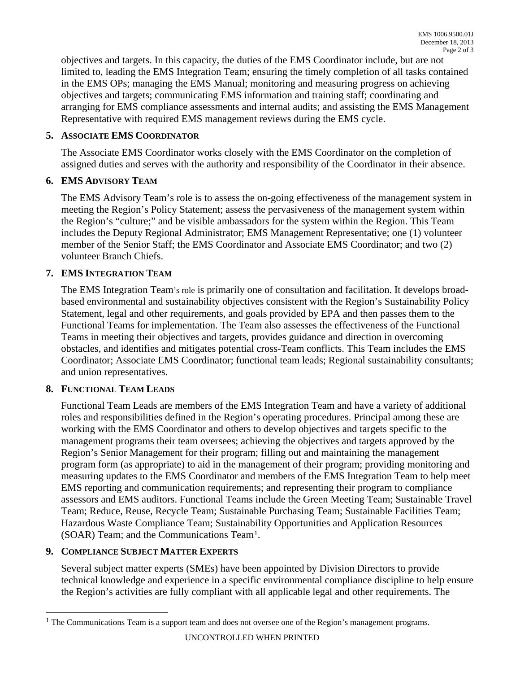limited to, leading the EMS Integration Team; ensuring the timely completion of all tasks contained in the EMS OPs; managing the EMS Manual; monitoring and measuring progress on achieving objectives and targets. In this capacity, the duties of the EMS Coordinator include, but are not objectives and targets; communicating EMS information and training staff; coordinating and arranging for EMS compliance assessments and internal audits; and assisting the EMS Management Representative with required EMS management reviews during the EMS cycle.

#### **5. ASSOCIATE EMS COORDINATOR**

The Associate EMS Coordinator works closely with the EMS Coordinator on the completion of assigned duties and serves with the authority and responsibility of the Coordinator in their absence.

### **6. EMS ADVISORY TEAM**

 member of the Senior Staff; the EMS Coordinator and Associate EMS Coordinator; and two (2) The EMS Advisory Team's role is to assess the on-going effectiveness of the management system in meeting the Region's Policy Statement; assess the pervasiveness of the management system within the Region's "culture;" and be visible ambassadors for the system within the Region. This Team includes the Deputy Regional Administrator; EMS Management Representative; one (1) volunteer volunteer Branch Chiefs.

## **7. EMS INTEGRATION TEAM**

 Statement, legal and other requirements, and goals provided by EPA and then passes them to the The EMS Integration Team's role is primarily one of consultation and facilitation. It develops broadbased environmental and sustainability objectives consistent with the Region's Sustainability Policy Functional Teams for implementation. The Team also assesses the effectiveness of the Functional Teams in meeting their objectives and targets, provides guidance and direction in overcoming obstacles, and identifies and mitigates potential cross-Team conflicts. This Team includes the EMS Coordinator; Associate EMS Coordinator; functional team leads; Regional sustainability consultants; and union representatives.

## **8. FUNCTIONAL TEAM LEADS**

 Functional Team Leads are members of the EMS Integration Team and have a variety of additional working with the EMS Coordinator and others to develop objectives and targets specific to the measuring updates to the EMS Coordinator and members of the EMS Integration Team to help meet roles and responsibilities defined in the Region's operating procedures. Principal among these are management programs their team oversees; achieving the objectives and targets approved by the Region's Senior Management for their program; filling out and maintaining the management program form (as appropriate) to aid in the management of their program; providing monitoring and EMS reporting and communication requirements; and representing their program to compliance assessors and EMS auditors. Functional Teams include the Green Meeting Team; Sustainable Travel Team; Reduce, Reuse, Recycle Team; Sustainable Purchasing Team; Sustainable Facilities Team; Hazardous Waste Compliance Team; Sustainability Opportunities and Application Resources (SOAR) Team; and the Communications Tea[m1](#page-1-0).

## **9. COMPLIANCE SUBJECT MATTER EXPERTS**

 $\overline{a}$ 

 Several subject matter experts (SMEs) have been appointed by Division Directors to provide technical knowledge and experience in a specific environmental compliance discipline to help ensure the Region's activities are fully compliant with all applicable legal and other requirements. The

<span id="page-1-0"></span> $<sup>1</sup>$  The Communications Team is a support team and does not oversee one of the Region's management programs.</sup>